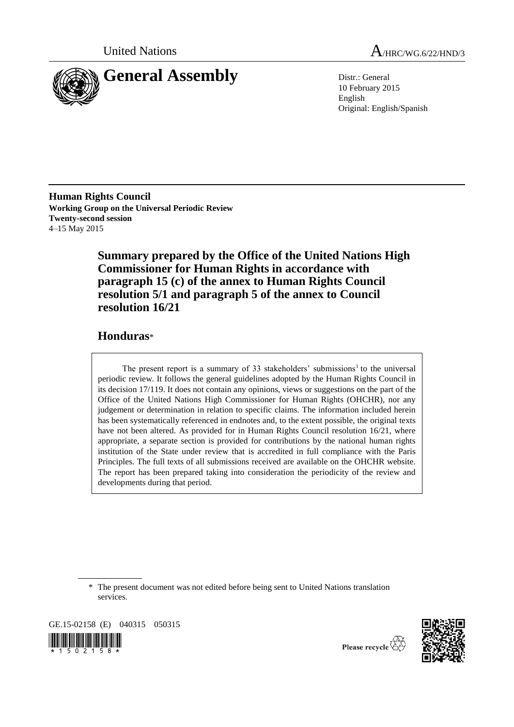

United Nations A<sub>/HRC/WG.6/22/HND/3</sub>

10 February 2015 English Original: English/Spanish

**Human Rights Council Working Group on the Universal Periodic Review Twenty-second session** 4–15 May 2015

> **Summary prepared by the Office of the United Nations High Commissioner for Human Rights in accordance with paragraph 15 (c) of the annex to Human Rights Council resolution 5/1 and paragraph 5 of the annex to Council resolution 16/21**

# **Honduras**\*

The present report is a summary of 33 stakeholders' submissions<sup>1</sup> to the universal periodic review. It follows the general guidelines adopted by the Human Rights Council in its decision 17/119. It does not contain any opinions, views or suggestions on the part of the Office of the United Nations High Commissioner for Human Rights (OHCHR), nor any judgement or determination in relation to specific claims. The information included herein has been systematically referenced in endnotes and, to the extent possible, the original texts have not been altered. As provided for in Human Rights Council resolution 16/21, where appropriate, a separate section is provided for contributions by the national human rights institution of the State under review that is accredited in full compliance with the Paris Principles. The full texts of all submissions received are available on the OHCHR website. The report has been prepared taking into consideration the periodicity of the review and developments during that period.

\* The present document was not edited before being sent to United Nations translation services.

GE.15-02158 (E) 040315 050315  $\frac{1}{2}$  ,  $\frac{1}{2}$  ,  $\frac{1}{2}$  ,  $\frac{1}{2}$  ,  $\frac{1}{2}$  ,  $\frac{1}{2}$  ,  $\frac{1}{2}$  ,  $\frac{1}{2}$ 



Please recycle  $\mathbb{Z}$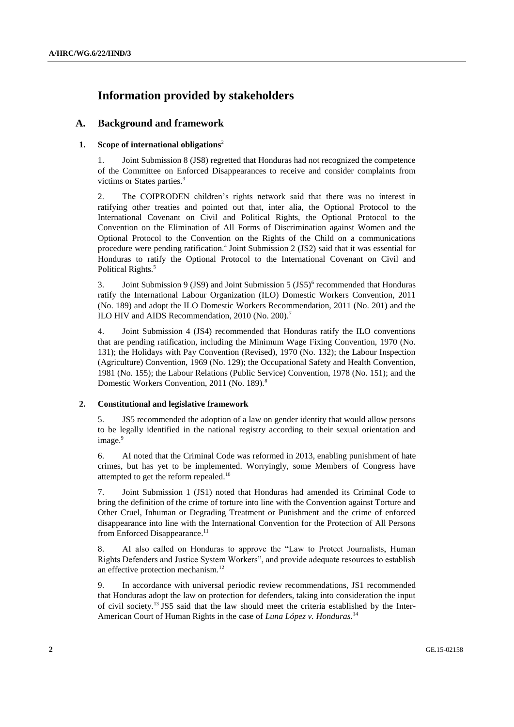# **Information provided by stakeholders**

# **A. Background and framework**

## **1. Scope of international obligations**<sup>2</sup>

1. Joint Submission 8 (JS8) regretted that Honduras had not recognized the competence of the Committee on Enforced Disappearances to receive and consider complaints from victims or States parties.<sup>3</sup>

2. The COIPRODEN children's rights network said that there was no interest in ratifying other treaties and pointed out that, inter alia, the Optional Protocol to the International Covenant on Civil and Political Rights, the Optional Protocol to the Convention on the Elimination of All Forms of Discrimination against Women and the Optional Protocol to the Convention on the Rights of the Child on a communications procedure were pending ratification.<sup>4</sup> Joint Submission 2 (JS2) said that it was essential for Honduras to ratify the Optional Protocol to the International Covenant on Civil and Political Rights.<sup>5</sup>

3. Joint Submission 9 (JS9) and Joint Submission 5 (JS5)<sup>6</sup> recommended that Honduras ratify the International Labour Organization (ILO) Domestic Workers Convention, 2011 (No. 189) and adopt the ILO Domestic Workers Recommendation, 2011 (No. 201) and the ILO HIV and AIDS Recommendation, 2010 (No. 200).<sup>7</sup>

4. Joint Submission 4 (JS4) recommended that Honduras ratify the ILO conventions that are pending ratification, including the Minimum Wage Fixing Convention, 1970 (No. 131); the Holidays with Pay Convention (Revised), 1970 (No. 132); the Labour Inspection (Agriculture) Convention, 1969 (No. 129); the Occupational Safety and Health Convention, 1981 (No. 155); the Labour Relations (Public Service) Convention, 1978 (No. 151); and the Domestic Workers Convention, 2011 (No. 189).<sup>8</sup>

## **2. Constitutional and legislative framework**

5. JS5 recommended the adoption of a law on gender identity that would allow persons to be legally identified in the national registry according to their sexual orientation and image.<sup>9</sup>

6. AI noted that the Criminal Code was reformed in 2013, enabling punishment of hate crimes, but has yet to be implemented. Worryingly, some Members of Congress have attempted to get the reform repealed.<sup>10</sup>

7. Joint Submission 1 (JS1) noted that Honduras had amended its Criminal Code to bring the definition of the crime of torture into line with the Convention against Torture and Other Cruel, Inhuman or Degrading Treatment or Punishment and the crime of enforced disappearance into line with the International Convention for the Protection of All Persons from Enforced Disappearance.<sup>11</sup>

8. AI also called on Honduras to approve the "Law to Protect Journalists, Human Rights Defenders and Justice System Workers", and provide adequate resources to establish an effective protection mechanism.<sup>12</sup>

9. In accordance with universal periodic review recommendations, JS1 recommended that Honduras adopt the law on protection for defenders, taking into consideration the input of civil society.<sup>13</sup> JS5 said that the law should meet the criteria established by the Inter-American Court of Human Rights in the case of *Luna López v. Honduras*. 14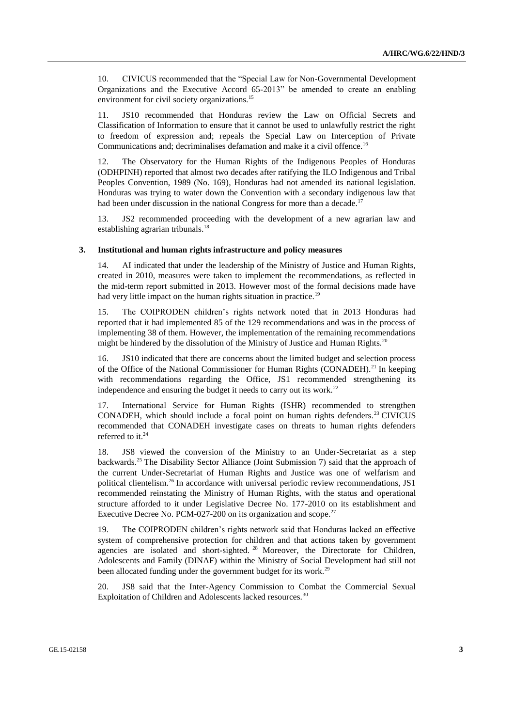10. CIVICUS recommended that the "Special Law for Non-Governmental Development Organizations and the Executive Accord 65-2013" be amended to create an enabling environment for civil society organizations.<sup>15</sup>

11. JS10 recommended that Honduras review the Law on Official Secrets and Classification of Information to ensure that it cannot be used to unlawfully restrict the right to freedom of expression and; repeals the Special Law on Interception of Private Communications and; decriminalises defamation and make it a civil offence.<sup>16</sup>

12. The Observatory for the Human Rights of the Indigenous Peoples of Honduras (ODHPINH) reported that almost two decades after ratifying the ILO Indigenous and Tribal Peoples Convention, 1989 (No. 169), Honduras had not amended its national legislation. Honduras was trying to water down the Convention with a secondary indigenous law that had been under discussion in the national Congress for more than a decade.<sup>17</sup>

13. JS2 recommended proceeding with the development of a new agrarian law and establishing agrarian tribunals.<sup>18</sup>

### **3. Institutional and human rights infrastructure and policy measures**

14. AI indicated that under the leadership of the Ministry of Justice and Human Rights, created in 2010, measures were taken to implement the recommendations, as reflected in the mid-term report submitted in 2013. However most of the formal decisions made have had very little impact on the human rights situation in practice.<sup>19</sup>

15. The COIPRODEN children's rights network noted that in 2013 Honduras had reported that it had implemented 85 of the 129 recommendations and was in the process of implementing 38 of them. However, the implementation of the remaining recommendations might be hindered by the dissolution of the Ministry of Justice and Human Rights. $^{20}$ 

16. JS10 indicated that there are concerns about the limited budget and selection process of the Office of the National Commissioner for Human Rights (CONADEH).<sup>21</sup> In keeping with recommendations regarding the Office, JS1 recommended strengthening its independence and ensuring the budget it needs to carry out its work.<sup>22</sup>

17. International Service for Human Rights (ISHR) recommended to strengthen CONADEH, which should include a focal point on human rights defenders.<sup>23</sup> CIVICUS recommended that CONADEH investigate cases on threats to human rights defenders referred to it.<sup>24</sup>

18. JS8 viewed the conversion of the Ministry to an Under-Secretariat as a step backwards.<sup>25</sup> The Disability Sector Alliance (Joint Submission 7) said that the approach of the current Under-Secretariat of Human Rights and Justice was one of welfarism and political clientelism.<sup>26</sup> In accordance with universal periodic review recommendations, JS1 recommended reinstating the Ministry of Human Rights, with the status and operational structure afforded to it under Legislative Decree No. 177-2010 on its establishment and Executive Decree No. PCM-027-200 on its organization and scope.<sup>27</sup>

19. The COIPRODEN children's rights network said that Honduras lacked an effective system of comprehensive protection for children and that actions taken by government agencies are isolated and short-sighted. <sup>28</sup> Moreover, the Directorate for Children, Adolescents and Family (DINAF) within the Ministry of Social Development had still not been allocated funding under the government budget for its work.<sup>29</sup>

20. JS8 said that the Inter-Agency Commission to Combat the Commercial Sexual Exploitation of Children and Adolescents lacked resources.<sup>30</sup>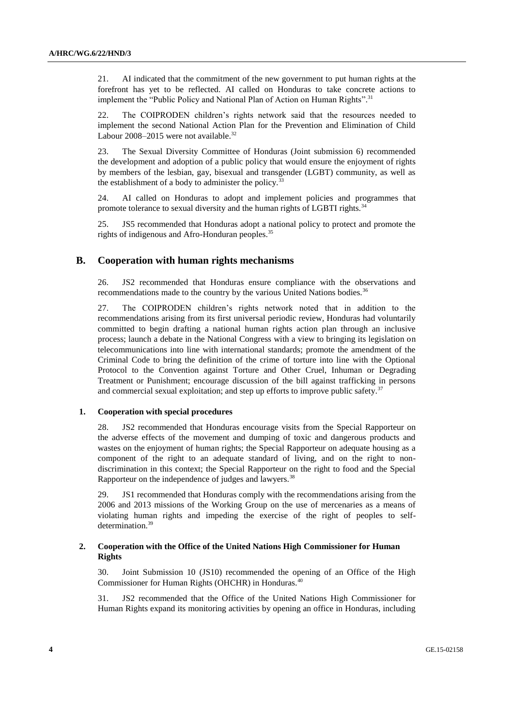21. AI indicated that the commitment of the new government to put human rights at the forefront has yet to be reflected. AI called on Honduras to take concrete actions to implement the "Public Policy and National Plan of Action on Human Rights".<sup>31</sup>

22. The COIPRODEN children's rights network said that the resources needed to implement the second National Action Plan for the Prevention and Elimination of Child Labour 2008–2015 were not available.<sup>32</sup>

23. The Sexual Diversity Committee of Honduras (Joint submission 6) recommended the development and adoption of a public policy that would ensure the enjoyment of rights by members of the lesbian, gay, bisexual and transgender (LGBT) community, as well as the establishment of a body to administer the policy. $33$ 

24. AI called on Honduras to adopt and implement policies and programmes that promote tolerance to sexual diversity and the human rights of LGBTI rights.<sup>34</sup>

25. JS5 recommended that Honduras adopt a national policy to protect and promote the rights of indigenous and Afro-Honduran peoples.<sup>35</sup>

## **B. Cooperation with human rights mechanisms**

26. JS2 recommended that Honduras ensure compliance with the observations and recommendations made to the country by the various United Nations bodies.<sup>36</sup>

27. The COIPRODEN children's rights network noted that in addition to the recommendations arising from its first universal periodic review, Honduras had voluntarily committed to begin drafting a national human rights action plan through an inclusive process; launch a debate in the National Congress with a view to bringing its legislation on telecommunications into line with international standards; promote the amendment of the Criminal Code to bring the definition of the crime of torture into line with the Optional Protocol to the Convention against Torture and Other Cruel, Inhuman or Degrading Treatment or Punishment; encourage discussion of the bill against trafficking in persons and commercial sexual exploitation; and step up efforts to improve public safety.<sup>37</sup>

#### **1. Cooperation with special procedures**

28. JS2 recommended that Honduras encourage visits from the Special Rapporteur on the adverse effects of the movement and dumping of toxic and dangerous products and wastes on the enjoyment of human rights; the Special Rapporteur on adequate housing as a component of the right to an adequate standard of living, and on the right to nondiscrimination in this context; the Special Rapporteur on the right to food and the Special Rapporteur on the independence of judges and lawyers.<sup>38</sup>

29. JS1 recommended that Honduras comply with the recommendations arising from the 2006 and 2013 missions of the Working Group on the use of mercenaries as a means of violating human rights and impeding the exercise of the right of peoples to selfdetermination.<sup>39</sup>

## **2. Cooperation with the Office of the United Nations High Commissioner for Human Rights**

30. Joint Submission 10 (JS10) recommended the opening of an Office of the High Commissioner for Human Rights (OHCHR) in Honduras.<sup>40</sup>

31. JS2 recommended that the Office of the United Nations High Commissioner for Human Rights expand its monitoring activities by opening an office in Honduras, including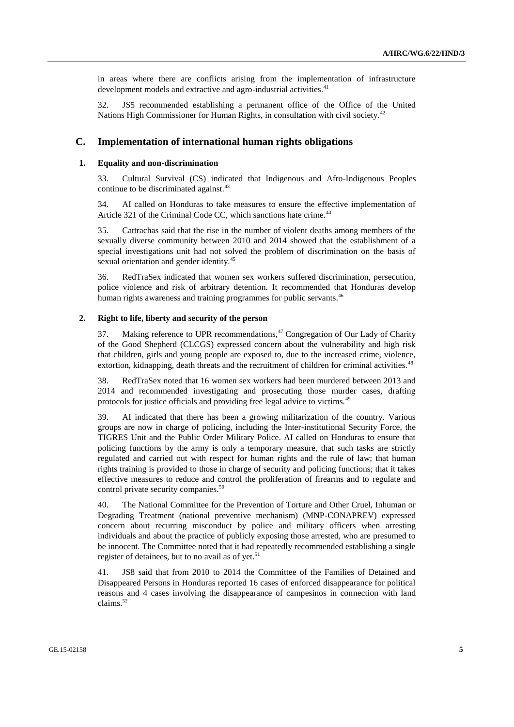in areas where there are conflicts arising from the implementation of infrastructure development models and extractive and agro-industrial activities.<sup>41</sup>

32. JS5 recommended establishing a permanent office of the Office of the United Nations High Commissioner for Human Rights, in consultation with civil society.<sup>42</sup>

## **C. Implementation of international human rights obligations**

#### **1. Equality and non-discrimination**

33. Cultural Survival (CS) indicated that Indigenous and Afro-Indigenous Peoples continue to be discriminated against.<sup>43</sup>

34. AI called on Honduras to take measures to ensure the effective implementation of Article 321 of the Criminal Code CC, which sanctions hate crime.<sup>44</sup>

35. Cattrachas said that the rise in the number of violent deaths among members of the sexually diverse community between 2010 and 2014 showed that the establishment of a special investigations unit had not solved the problem of discrimination on the basis of sexual orientation and gender identity.<sup>45</sup>

36. RedTraSex indicated that women sex workers suffered discrimination, persecution, police violence and risk of arbitrary detention. It recommended that Honduras develop human rights awareness and training programmes for public servants.<sup>46</sup>

## **2. Right to life, liberty and security of the person**

37. Making reference to UPR recommendations, $47$  Congregation of Our Lady of Charity of the Good Shepherd (CLCGS) expressed concern about the vulnerability and high risk that children, girls and young people are exposed to, due to the increased crime, violence, extortion, kidnapping, death threats and the recruitment of children for criminal activities.<sup>48</sup>

38. RedTraSex noted that 16 women sex workers had been murdered between 2013 and 2014 and recommended investigating and prosecuting those murder cases, drafting protocols for justice officials and providing free legal advice to victims.<sup>49</sup>

39. AI indicated that there has been a growing militarization of the country. Various groups are now in charge of policing, including the Inter-institutional Security Force, the TIGRES Unit and the Public Order Military Police. AI called on Honduras to ensure that policing functions by the army is only a temporary measure, that such tasks are strictly regulated and carried out with respect for human rights and the rule of law; that human rights training is provided to those in charge of security and policing functions; that it takes effective measures to reduce and control the proliferation of firearms and to regulate and control private security companies.<sup>50</sup>

40. The National Committee for the Prevention of Torture and Other Cruel, Inhuman or Degrading Treatment (national preventive mechanism) (MNP-CONAPREV) expressed concern about recurring misconduct by police and military officers when arresting individuals and about the practice of publicly exposing those arrested, who are presumed to be innocent. The Committee noted that it had repeatedly recommended establishing a single register of detainees, but to no avail as of yet.<sup>51</sup>

41. JS8 said that from 2010 to 2014 the Committee of the Families of Detained and Disappeared Persons in Honduras reported 16 cases of enforced disappearance for political reasons and 4 cases involving the disappearance of campesinos in connection with land claims.<sup>52</sup>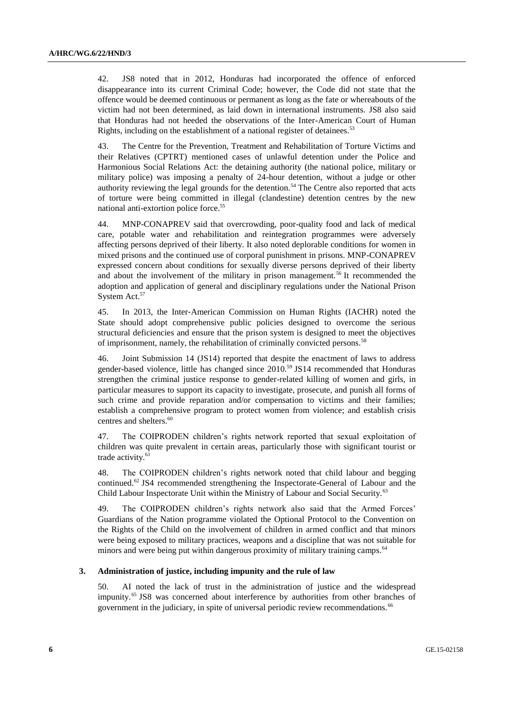42. JS8 noted that in 2012, Honduras had incorporated the offence of enforced disappearance into its current Criminal Code; however, the Code did not state that the offence would be deemed continuous or permanent as long as the fate or whereabouts of the victim had not been determined, as laid down in international instruments. JS8 also said that Honduras had not heeded the observations of the Inter-American Court of Human Rights, including on the establishment of a national register of detainees.<sup>53</sup>

43. The Centre for the Prevention, Treatment and Rehabilitation of Torture Victims and their Relatives (CPTRT) mentioned cases of unlawful detention under the Police and Harmonious Social Relations Act: the detaining authority (the national police, military or military police) was imposing a penalty of 24-hour detention, without a judge or other authority reviewing the legal grounds for the detention.<sup>54</sup> The Centre also reported that acts of torture were being committed in illegal (clandestine) detention centres by the new national anti-extortion police force.<sup>55</sup>

44. MNP-CONAPREV said that overcrowding, poor-quality food and lack of medical care, potable water and rehabilitation and reintegration programmes were adversely affecting persons deprived of their liberty. It also noted deplorable conditions for women in mixed prisons and the continued use of corporal punishment in prisons. MNP-CONAPREV expressed concern about conditions for sexually diverse persons deprived of their liberty and about the involvement of the military in prison management.<sup>56</sup> It recommended the adoption and application of general and disciplinary regulations under the National Prison System Act.<sup>57</sup>

45. In 2013, the Inter‐American Commission on Human Rights (IACHR) noted the State should adopt comprehensive public policies designed to overcome the serious structural deficiencies and ensure that the prison system is designed to meet the objectives of imprisonment, namely, the rehabilitation of criminally convicted persons.<sup>58</sup>

46. Joint Submission 14 (JS14) reported that despite the enactment of laws to address gender-based violence, little has changed since 2010.<sup>59</sup> JS14 recommended that Honduras strengthen the criminal justice response to gender-related killing of women and girls, in particular measures to support its capacity to investigate, prosecute, and punish all forms of such crime and provide reparation and/or compensation to victims and their families; establish a comprehensive program to protect women from violence; and establish crisis centres and shelters.<sup>60</sup>

47. The COIPRODEN children's rights network reported that sexual exploitation of children was quite prevalent in certain areas, particularly those with significant tourist or trade activity.<sup>61</sup>

48. The COIPRODEN children's rights network noted that child labour and begging continued.<sup>62</sup> JS4 recommended strengthening the Inspectorate-General of Labour and the Child Labour Inspectorate Unit within the Ministry of Labour and Social Security.<sup>63</sup>

49. The COIPRODEN children's rights network also said that the Armed Forces' Guardians of the Nation programme violated the Optional Protocol to the Convention on the Rights of the Child on the involvement of children in armed conflict and that minors were being exposed to military practices, weapons and a discipline that was not suitable for minors and were being put within dangerous proximity of military training camps.<sup>64</sup>

#### **3. Administration of justice, including impunity and the rule of law**

50. AI noted the lack of trust in the administration of justice and the widespread impunity.<sup>65</sup> JS8 was concerned about interference by authorities from other branches of government in the judiciary, in spite of universal periodic review recommendations.<sup>66</sup>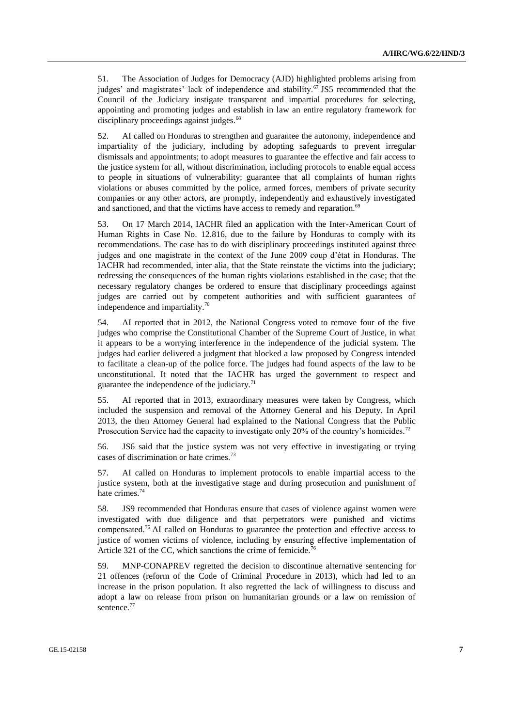51. The Association of Judges for Democracy (AJD) highlighted problems arising from judges' and magistrates' lack of independence and stability.<sup>67</sup> JS5 recommended that the Council of the Judiciary instigate transparent and impartial procedures for selecting, appointing and promoting judges and establish in law an entire regulatory framework for disciplinary proceedings against judges.<sup>68</sup>

52. AI called on Honduras to strengthen and guarantee the autonomy, independence and impartiality of the judiciary, including by adopting safeguards to prevent irregular dismissals and appointments; to adopt measures to guarantee the effective and fair access to the justice system for all, without discrimination, including protocols to enable equal access to people in situations of vulnerability; guarantee that all complaints of human rights violations or abuses committed by the police, armed forces, members of private security companies or any other actors, are promptly, independently and exhaustively investigated and sanctioned, and that the victims have access to remedy and reparation.<sup>69</sup>

53. On 17 March 2014, IACHR filed an application with the Inter-American Court of Human Rights in Case No. 12.816, due to the failure by Honduras to comply with its recommendations. The case has to do with disciplinary proceedings instituted against three judges and one magistrate in the context of the June 2009 coup d'état in Honduras. The IACHR had recommended, inter alia, that the State reinstate the victims into the judiciary; redressing the consequences of the human rights violations established in the case; that the necessary regulatory changes be ordered to ensure that disciplinary proceedings against judges are carried out by competent authorities and with sufficient guarantees of independence and impartiality.<sup>70</sup>

54. AI reported that in 2012, the National Congress voted to remove four of the five judges who comprise the Constitutional Chamber of the Supreme Court of Justice, in what it appears to be a worrying interference in the independence of the judicial system. The judges had earlier delivered a judgment that blocked a law proposed by Congress intended to facilitate a clean-up of the police force. The judges had found aspects of the law to be unconstitutional. It noted that the IACHR has urged the government to respect and guarantee the independence of the judiciary. $^{71}$ 

55. AI reported that in 2013, extraordinary measures were taken by Congress, which included the suspension and removal of the Attorney General and his Deputy. In April 2013, the then Attorney General had explained to the National Congress that the Public Prosecution Service had the capacity to investigate only 20% of the country's homicides.<sup>72</sup>

56. JS6 said that the justice system was not very effective in investigating or trying cases of discrimination or hate crimes.<sup>73</sup>

57. AI called on Honduras to implement protocols to enable impartial access to the justice system, both at the investigative stage and during prosecution and punishment of hate crimes.<sup>74</sup>

58. JS9 recommended that Honduras ensure that cases of violence against women were investigated with due diligence and that perpetrators were punished and victims compensated.<sup>75</sup> AI called on Honduras to guarantee the protection and effective access to justice of women victims of violence, including by ensuring effective implementation of Article 321 of the CC, which sanctions the crime of femicide.<sup>7</sup>

59. MNP-CONAPREV regretted the decision to discontinue alternative sentencing for 21 offences (reform of the Code of Criminal Procedure in 2013), which had led to an increase in the prison population. It also regretted the lack of willingness to discuss and adopt a law on release from prison on humanitarian grounds or a law on remission of sentence.<sup>77</sup>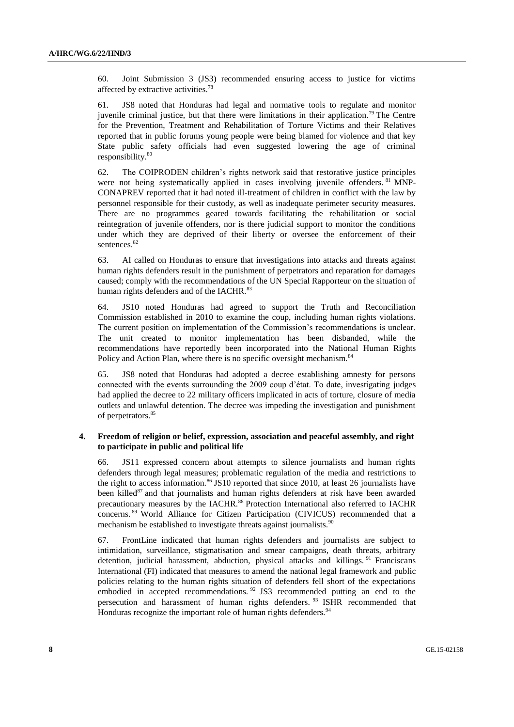60. Joint Submission 3 (JS3) recommended ensuring access to justice for victims affected by extractive activities.<sup>78</sup>

61. JS8 noted that Honduras had legal and normative tools to regulate and monitor juvenile criminal justice, but that there were limitations in their application.<sup>79</sup> The Centre for the Prevention, Treatment and Rehabilitation of Torture Victims and their Relatives reported that in public forums young people were being blamed for violence and that key State public safety officials had even suggested lowering the age of criminal responsibility.<sup>80</sup>

62. The COIPRODEN children's rights network said that restorative justice principles were not being systematically applied in cases involving juvenile offenders. <sup>81</sup> MNP-CONAPREV reported that it had noted ill-treatment of children in conflict with the law by personnel responsible for their custody, as well as inadequate perimeter security measures. There are no programmes geared towards facilitating the rehabilitation or social reintegration of juvenile offenders, nor is there judicial support to monitor the conditions under which they are deprived of their liberty or oversee the enforcement of their sentences.<sup>82</sup>

63. AI called on Honduras to ensure that investigations into attacks and threats against human rights defenders result in the punishment of perpetrators and reparation for damages caused; comply with the recommendations of the UN Special Rapporteur on the situation of human rights defenders and of the IACHR.<sup>83</sup>

64. JS10 noted Honduras had agreed to support the Truth and Reconciliation Commission established in 2010 to examine the coup, including human rights violations. The current position on implementation of the Commission's recommendations is unclear. The unit created to monitor implementation has been disbanded, while the recommendations have reportedly been incorporated into the National Human Rights Policy and Action Plan, where there is no specific oversight mechanism.<sup>84</sup>

65. JS8 noted that Honduras had adopted a decree establishing amnesty for persons connected with the events surrounding the 2009 coup d'état. To date, investigating judges had applied the decree to 22 military officers implicated in acts of torture, closure of media outlets and unlawful detention. The decree was impeding the investigation and punishment of perpetrators.<sup>85</sup>

### **4. Freedom of religion or belief, expression, association and peaceful assembly, and right to participate in public and political life**

66. JS11 expressed concern about attempts to silence journalists and human rights defenders through legal measures; problematic regulation of the media and restrictions to the right to access information. $86$  JS10 reported that since 2010, at least 26 journalists have been killed<sup>87</sup> and that journalists and human rights defenders at risk have been awarded precautionary measures by the IACHR.<sup>88</sup> Protection International also referred to IACHR concerns. <sup>89</sup> World Alliance for Citizen Participation (CIVICUS) recommended that a mechanism be established to investigate threats against journalists.<sup>90</sup>

67. FrontLine indicated that human rights defenders and journalists are subject to intimidation, surveillance, stigmatisation and smear campaigns, death threats, arbitrary detention, judicial harassment, abduction, physical attacks and killings.<sup>91</sup> Franciscans International (FI) indicated that measures to amend the national legal framework and public policies relating to the human rights situation of defenders fell short of the expectations embodied in accepted recommendations.<sup>92</sup> JS3 recommended putting an end to the persecution and harassment of human rights defenders.<sup>93</sup> ISHR recommended that Honduras recognize the important role of human rights defenders.<sup>94</sup>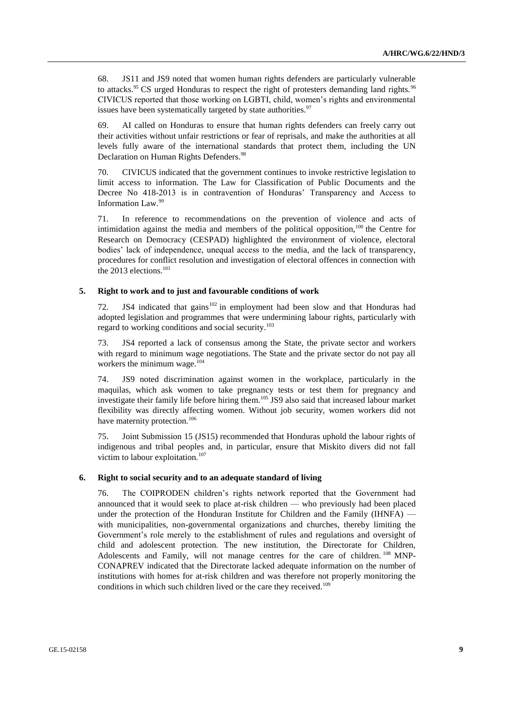68. JS11 and JS9 noted that women human rights defenders are particularly vulnerable to attacks.<sup>95</sup> CS urged Honduras to respect the right of protesters demanding land rights.<sup>96</sup> CIVICUS reported that those working on LGBTI, child, women's rights and environmental issues have been systematically targeted by state authorities. $97$ 

69. AI called on Honduras to ensure that human rights defenders can freely carry out their activities without unfair restrictions or fear of reprisals, and make the authorities at all levels fully aware of the international standards that protect them, including the UN Declaration on Human Rights Defenders.<sup>98</sup>

70. CIVICUS indicated that the government continues to invoke restrictive legislation to limit access to information. The Law for Classification of Public Documents and the Decree No 418-2013 is in contravention of Honduras' Transparency and Access to Information Law.<sup>99</sup>

71. In reference to recommendations on the prevention of violence and acts of intimidation against the media and members of the political opposition, $100$  the Centre for Research on Democracy (CESPAD) highlighted the environment of violence, electoral bodies' lack of independence, unequal access to the media, and the lack of transparency, procedures for conflict resolution and investigation of electoral offences in connection with the 2013 elections.<sup>101</sup>

## **5. Right to work and to just and favourable conditions of work**

72. JS4 indicated that gains<sup>102</sup> in employment had been slow and that Honduras had adopted legislation and programmes that were undermining labour rights, particularly with regard to working conditions and social security.<sup>103</sup>

73. JS4 reported a lack of consensus among the State, the private sector and workers with regard to minimum wage negotiations. The State and the private sector do not pay all workers the minimum wage.<sup>104</sup>

74. JS9 noted discrimination against women in the workplace, particularly in the maquilas, which ask women to take pregnancy tests or test them for pregnancy and investigate their family life before hiring them.<sup>105</sup> JS9 also said that increased labour market flexibility was directly affecting women. Without job security, women workers did not have maternity protection.<sup>106</sup>

75. Joint Submission 15 (JS15) recommended that Honduras uphold the labour rights of indigenous and tribal peoples and, in particular, ensure that Miskito divers did not fall victim to labour exploitation.<sup>107</sup>

## **6. Right to social security and to an adequate standard of living**

76. The COIPRODEN children's rights network reported that the Government had announced that it would seek to place at-risk children — who previously had been placed under the protection of the Honduran Institute for Children and the Family (IHNFA) with municipalities, non-governmental organizations and churches, thereby limiting the Government's role merely to the establishment of rules and regulations and oversight of child and adolescent protection. The new institution, the Directorate for Children, Adolescents and Family, will not manage centres for the care of children. <sup>108</sup> MNP-CONAPREV indicated that the Directorate lacked adequate information on the number of institutions with homes for at-risk children and was therefore not properly monitoring the conditions in which such children lived or the care they received.<sup>109</sup>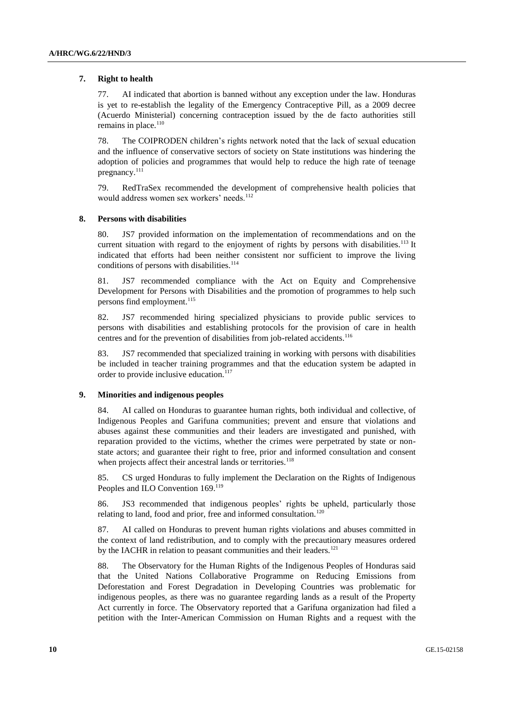#### **7. Right to health**

77. AI indicated that abortion is banned without any exception under the law. Honduras is yet to re-establish the legality of the Emergency Contraceptive Pill, as a 2009 decree (Acuerdo Ministerial) concerning contraception issued by the de facto authorities still remains in place. $110$ 

78. The COIPRODEN children's rights network noted that the lack of sexual education and the influence of conservative sectors of society on State institutions was hindering the adoption of policies and programmes that would help to reduce the high rate of teenage pregnancy.<sup>111</sup>

79. RedTraSex recommended the development of comprehensive health policies that would address women sex workers' needs.<sup>112</sup>

#### **8. Persons with disabilities**

80. JS7 provided information on the implementation of recommendations and on the current situation with regard to the enjoyment of rights by persons with disabilities.<sup>113</sup> It indicated that efforts had been neither consistent nor sufficient to improve the living conditions of persons with disabilities.<sup>114</sup>

81. JS7 recommended compliance with the Act on Equity and Comprehensive Development for Persons with Disabilities and the promotion of programmes to help such persons find employment.<sup>115</sup>

82. JS7 recommended hiring specialized physicians to provide public services to persons with disabilities and establishing protocols for the provision of care in health centres and for the prevention of disabilities from job-related accidents.<sup>116</sup>

83. JS7 recommended that specialized training in working with persons with disabilities be included in teacher training programmes and that the education system be adapted in order to provide inclusive education.<sup>117</sup>

#### **9. Minorities and indigenous peoples**

84. AI called on Honduras to guarantee human rights, both individual and collective, of Indigenous Peoples and Garifuna communities; prevent and ensure that violations and abuses against these communities and their leaders are investigated and punished, with reparation provided to the victims, whether the crimes were perpetrated by state or nonstate actors; and guarantee their right to free, prior and informed consultation and consent when projects affect their ancestral lands or territories.<sup>118</sup>

85. CS urged Honduras to fully implement the Declaration on the Rights of Indigenous Peoples and ILO Convention 169.<sup>119</sup>

86. JS3 recommended that indigenous peoples' rights be upheld, particularly those relating to land, food and prior, free and informed consultation.<sup>120</sup>

87. AI called on Honduras to prevent human rights violations and abuses committed in the context of land redistribution, and to comply with the precautionary measures ordered by the IACHR in relation to peasant communities and their leaders.<sup>121</sup>

88. The Observatory for the Human Rights of the Indigenous Peoples of Honduras said that the United Nations Collaborative Programme on Reducing Emissions from Deforestation and Forest Degradation in Developing Countries was problematic for indigenous peoples, as there was no guarantee regarding lands as a result of the Property Act currently in force. The Observatory reported that a Garifuna organization had filed a petition with the Inter-American Commission on Human Rights and a request with the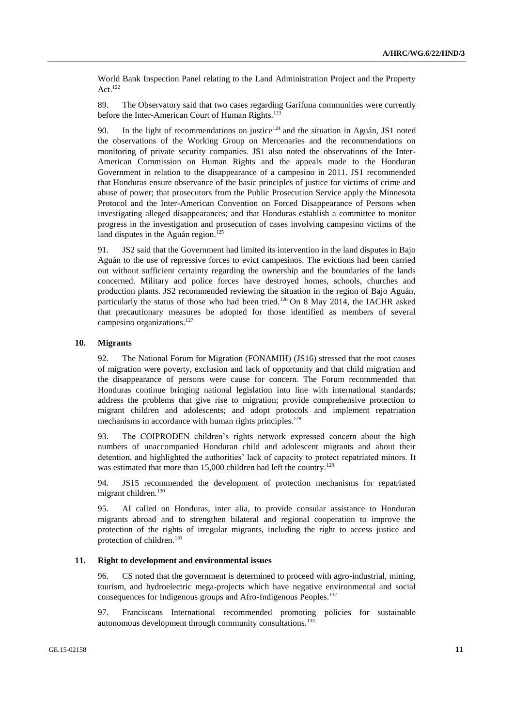World Bank Inspection Panel relating to the Land Administration Project and the Property Act. $122$ 

89. The Observatory said that two cases regarding Garifuna communities were currently before the Inter-American Court of Human Rights.<sup>123</sup>

90. In the light of recommendations on justice<sup>124</sup> and the situation in Aguán, JS1 noted the observations of the Working Group on Mercenaries and the recommendations on monitoring of private security companies. JS1 also noted the observations of the Inter-American Commission on Human Rights and the appeals made to the Honduran Government in relation to the disappearance of a campesino in 2011. JS1 recommended that Honduras ensure observance of the basic principles of justice for victims of crime and abuse of power; that prosecutors from the Public Prosecution Service apply the Minnesota Protocol and the Inter-American Convention on Forced Disappearance of Persons when investigating alleged disappearances; and that Honduras establish a committee to monitor progress in the investigation and prosecution of cases involving campesino victims of the land disputes in the Aguán region.<sup>125</sup>

91. JS2 said that the Government had limited its intervention in the land disputes in Bajo Aguán to the use of repressive forces to evict campesinos. The evictions had been carried out without sufficient certainty regarding the ownership and the boundaries of the lands concerned. Military and police forces have destroyed homes, schools, churches and production plants. JS2 recommended reviewing the situation in the region of Bajo Aguán, particularly the status of those who had been tried.<sup>126</sup> On 8 May 2014, the IACHR asked that precautionary measures be adopted for those identified as members of several campesino organizations.<sup>127</sup>

#### **10. Migrants**

92. The National Forum for Migration (FONAMIH) (JS16) stressed that the root causes of migration were poverty, exclusion and lack of opportunity and that child migration and the disappearance of persons were cause for concern. The Forum recommended that Honduras continue bringing national legislation into line with international standards; address the problems that give rise to migration; provide comprehensive protection to migrant children and adolescents; and adopt protocols and implement repatriation mechanisms in accordance with human rights principles.<sup>128</sup>

93. The COIPRODEN children's rights network expressed concern about the high numbers of unaccompanied Honduran child and adolescent migrants and about their detention, and highlighted the authorities' lack of capacity to protect repatriated minors. It was estimated that more than 15,000 children had left the country.<sup>129</sup>

94. JS15 recommended the development of protection mechanisms for repatriated migrant children.<sup>130</sup>

95. AI called on Honduras, inter alia, to provide consular assistance to Honduran migrants abroad and to strengthen bilateral and regional cooperation to improve the protection of the rights of irregular migrants, including the right to access justice and protection of children.<sup>131</sup>

## **11. Right to development and environmental issues**

96. CS noted that the government is determined to proceed with agro-industrial, mining, tourism, and hydroelectric mega-projects which have negative environmental and social consequences for Indigenous groups and Afro-Indigenous Peoples.<sup>132</sup>

97. Franciscans International recommended promoting policies for sustainable autonomous development through community consultations.<sup>133</sup>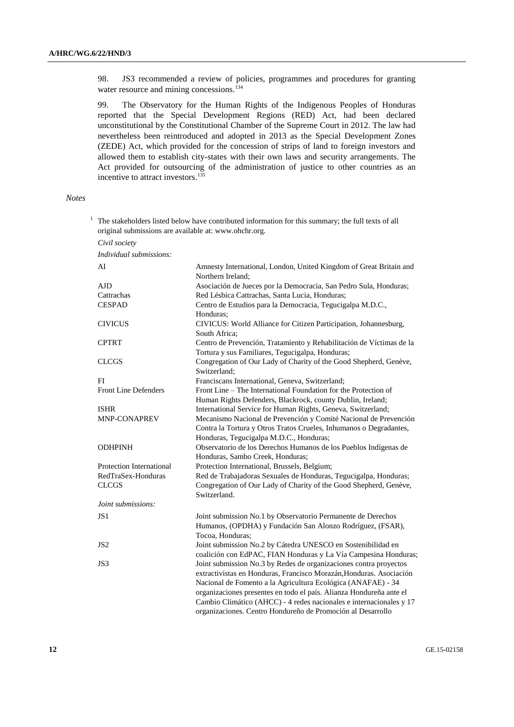98. JS3 recommended a review of policies, programmes and procedures for granting water resource and mining concessions.<sup>134</sup>

99. The Observatory for the Human Rights of the Indigenous Peoples of Honduras reported that the Special Development Regions (RED) Act, had been declared unconstitutional by the Constitutional Chamber of the Supreme Court in 2012. The law had nevertheless been reintroduced and adopted in 2013 as the Special Development Zones (ZEDE) Act, which provided for the concession of strips of land to foreign investors and allowed them to establish city-states with their own laws and security arrangements. The Act provided for outsourcing of the administration of justice to other countries as an incentive to attract investors.<sup>135</sup>

#### *Notes*

| The stakeholders listed below have contributed information for this summary; the full texts of all<br>original submissions are available at: www.ohchr.org. |                                                                                                                                                                                                                                                                                                                                                                                                                        |  |
|-------------------------------------------------------------------------------------------------------------------------------------------------------------|------------------------------------------------------------------------------------------------------------------------------------------------------------------------------------------------------------------------------------------------------------------------------------------------------------------------------------------------------------------------------------------------------------------------|--|
| Civil society                                                                                                                                               |                                                                                                                                                                                                                                                                                                                                                                                                                        |  |
| Individual submissions:                                                                                                                                     |                                                                                                                                                                                                                                                                                                                                                                                                                        |  |
| AI                                                                                                                                                          | Amnesty International, London, United Kingdom of Great Britain and<br>Northern Ireland;                                                                                                                                                                                                                                                                                                                                |  |
| AJD                                                                                                                                                         | Asociación de Jueces por la Democracia, San Pedro Sula, Honduras;                                                                                                                                                                                                                                                                                                                                                      |  |
| Cattrachas                                                                                                                                                  | Red Lésbica Cattrachas, Santa Lucia, Honduras;                                                                                                                                                                                                                                                                                                                                                                         |  |
| <b>CESPAD</b>                                                                                                                                               | Centro de Estudios para la Democracia, Tegucigalpa M.D.C.,<br>Honduras:                                                                                                                                                                                                                                                                                                                                                |  |
| <b>CIVICUS</b>                                                                                                                                              | CIVICUS: World Alliance for Citizen Participation, Johannesburg,<br>South Africa;                                                                                                                                                                                                                                                                                                                                      |  |
| <b>CPTRT</b>                                                                                                                                                | Centro de Prevención, Tratamiento y Rehabilitación de Víctimas de la<br>Tortura y sus Familiares, Tegucigalpa, Honduras;                                                                                                                                                                                                                                                                                               |  |
| <b>CLCGS</b>                                                                                                                                                | Congregation of Our Lady of Charity of the Good Shepherd, Genève,<br>Switzerland;                                                                                                                                                                                                                                                                                                                                      |  |
| FI                                                                                                                                                          | Franciscans International, Geneva, Switzerland;                                                                                                                                                                                                                                                                                                                                                                        |  |
| Front Line Defenders                                                                                                                                        | Front Line - The International Foundation for the Protection of<br>Human Rights Defenders, Blackrock, county Dublin, Ireland;                                                                                                                                                                                                                                                                                          |  |
| <b>ISHR</b>                                                                                                                                                 | International Service for Human Rights, Geneva, Switzerland;                                                                                                                                                                                                                                                                                                                                                           |  |
| <b>MNP-CONAPREV</b>                                                                                                                                         | Mecanismo Nacional de Prevención y Comité Nacional de Prevención<br>Contra la Tortura y Otros Tratos Crueles, Inhumanos o Degradantes,                                                                                                                                                                                                                                                                                 |  |
| <b>ODHPINH</b>                                                                                                                                              | Honduras, Tegucigalpa M.D.C., Honduras;<br>Observatorio de los Derechos Humanos de los Pueblos Indígenas de<br>Honduras, Sambo Creek, Honduras;                                                                                                                                                                                                                                                                        |  |
| Protection International                                                                                                                                    | Protection International, Brussels, Belgium;                                                                                                                                                                                                                                                                                                                                                                           |  |
| RedTraSex-Honduras                                                                                                                                          | Red de Trabajadoras Sexuales de Honduras, Tegucigalpa, Honduras;                                                                                                                                                                                                                                                                                                                                                       |  |
| <b>CLCGS</b>                                                                                                                                                | Congregation of Our Lady of Charity of the Good Shepherd, Genève,<br>Switzerland.                                                                                                                                                                                                                                                                                                                                      |  |
| Joint submissions:                                                                                                                                          |                                                                                                                                                                                                                                                                                                                                                                                                                        |  |
| JS1                                                                                                                                                         | Joint submission No.1 by Observatorio Permanente de Derechos<br>Humanos, (OPDHA) y Fundación San Alonzo Rodríguez, (FSAR),<br>Tocoa, Honduras;                                                                                                                                                                                                                                                                         |  |
| JS <sub>2</sub>                                                                                                                                             | Joint submission No.2 by Cátedra UNESCO en Sostenibilidad en<br>coalición con EdPAC, FIAN Honduras y La Vía Campesina Honduras;                                                                                                                                                                                                                                                                                        |  |
| JS3                                                                                                                                                         | Joint submission No.3 by Redes de organizaciones contra proyectos<br>extractivistas en Honduras, Francisco Morazán, Honduras. Asociación<br>Nacional de Fomento a la Agricultura Ecológica (ANAFAE) - 34<br>organizaciones presentes en todo el país. Alianza Hondureña ante el<br>Cambio Climático (AHCC) - 4 redes nacionales e internacionales y 17<br>organizaciones. Centro Hondureño de Promoción al Desarrollo. |  |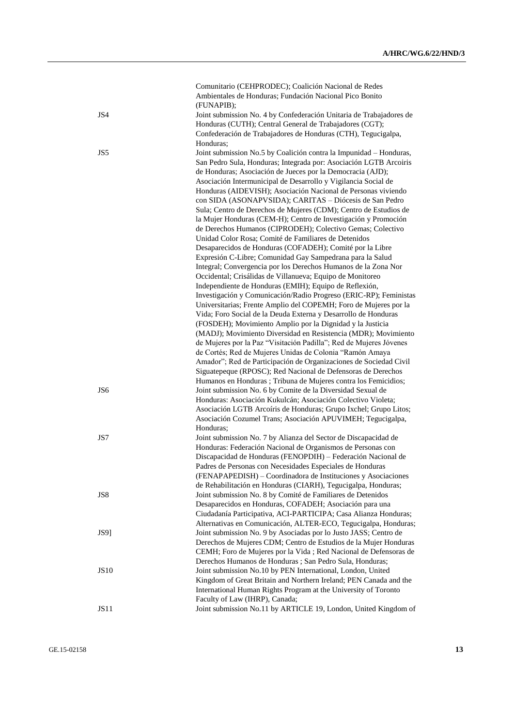|                 | Comunitario (CEHPRODEC); Coalición Nacional de Redes<br>Ambientales de Honduras; Fundación Nacional Pico Bonito                                                                                                                                                                                                                                                                                                  |
|-----------------|------------------------------------------------------------------------------------------------------------------------------------------------------------------------------------------------------------------------------------------------------------------------------------------------------------------------------------------------------------------------------------------------------------------|
| JS4             | (FUNAPIB);<br>Joint submission No. 4 by Confederación Unitaria de Trabajadores de<br>Honduras (CUTH); Central General de Trabajadores (CGT);<br>Confederación de Trabajadores de Honduras (CTH), Tegucigalpa,                                                                                                                                                                                                    |
| JS5             | Honduras:<br>Joint submission No.5 by Coalición contra la Impunidad - Honduras,<br>San Pedro Sula, Honduras; Integrada por: Asociación LGTB Arcoiris<br>de Honduras; Asociación de Jueces por la Democracia (AJD);<br>Asociación Intermunicipal de Desarrollo y Vigilancia Social de<br>Honduras (AIDEVISH); Asociación Nacional de Personas viviendo<br>con SIDA (ASONAPVSIDA); CARITAS - Diócesis de San Pedro |
|                 | Sula; Centro de Derechos de Mujeres (CDM); Centro de Estudios de<br>la Mujer Honduras (CEM-H); Centro de Investigación y Promoción<br>de Derechos Humanos (CIPRODEH); Colectivo Gemas; Colectivo                                                                                                                                                                                                                 |
|                 | Unidad Color Rosa; Comité de Familiares de Detenidos<br>Desaparecidos de Honduras (COFADEH); Comité por la Libre<br>Expresión C-Libre; Comunidad Gay Sampedrana para la Salud<br>Integral; Convergencia por los Derechos Humanos de la Zona Nor                                                                                                                                                                  |
|                 | Occidental; Crisálidas de Villanueva; Equipo de Monitoreo<br>Independiente de Honduras (EMIH); Equipo de Reflexión,                                                                                                                                                                                                                                                                                              |
|                 | Investigación y Comunicación/Radio Progreso (ERIC-RP); Feministas<br>Universitarias; Frente Amplio del COPEMH; Foro de Mujeres por la<br>Vida; Foro Social de la Deuda Externa y Desarrollo de Honduras<br>(FOSDEH); Movimiento Amplio por la Dignidad y la Justicia                                                                                                                                             |
|                 | (MADJ); Movimiento Diversidad en Resistencia (MDR); Movimiento<br>de Mujeres por la Paz "Visitación Padilla"; Red de Mujeres Jóvenes<br>de Cortés; Red de Mujeres Unidas de Colonia "Ramón Amaya                                                                                                                                                                                                                 |
|                 | Amador"; Red de Participación de Organizaciones de Sociedad Civil<br>Siguatepeque (RPOSC); Red Nacional de Defensoras de Derechos<br>Humanos en Honduras ; Tribuna de Mujeres contra los Femicidios;                                                                                                                                                                                                             |
| JS <sub>6</sub> | Joint submission No. 6 by Comite de la Diversidad Sexual de<br>Honduras: Asociación Kukulcán; Asociación Colectivo Violeta;<br>Asociación LGTB Arcoíris de Honduras; Grupo Ixchel; Grupo Litos;<br>Asociación Cozumel Trans; Asociación APUVIMEH; Tegucigalpa,<br>Honduras;                                                                                                                                      |
| JS7             | Joint submission No. 7 by Alianza del Sector de Discapacidad de<br>Honduras: Federación Nacional de Organismos de Personas con<br>Discapacidad de Honduras (FENOPDIH) - Federación Nacional de                                                                                                                                                                                                                   |
| JS8             | Padres de Personas con Necesidades Especiales de Honduras<br>(FENAPAPEDISH) - Coordinadora de Instituciones y Asociaciones<br>de Rehabilitación en Honduras (CIARH), Tegucigalpa, Honduras;<br>Joint submission No. 8 by Comité de Familiares de Detenidos                                                                                                                                                       |
|                 | Desaparecidos en Honduras, COFADEH; Asociación para una<br>Ciudadanía Participativa, ACI-PARTICIPA; Casa Alianza Honduras;<br>Alternativas en Comunicación, ALTER-ECO, Tegucigalpa, Honduras;                                                                                                                                                                                                                    |
| <b>JS9</b>      | Joint submission No. 9 by Asociadas por lo Justo JASS; Centro de<br>Derechos de Mujeres CDM; Centro de Estudios de la Mujer Honduras<br>CEMH; Foro de Mujeres por la Vida ; Red Nacional de Defensoras de<br>Derechos Humanos de Honduras ; San Pedro Sula, Honduras;                                                                                                                                            |
| <b>JS10</b>     | Joint submission No.10 by PEN International, London, United<br>Kingdom of Great Britain and Northern Ireland; PEN Canada and the<br>International Human Rights Program at the University of Toronto                                                                                                                                                                                                              |
| JS11            | Faculty of Law (IHRP), Canada;<br>Joint submission No.11 by ARTICLE 19, London, United Kingdom of                                                                                                                                                                                                                                                                                                                |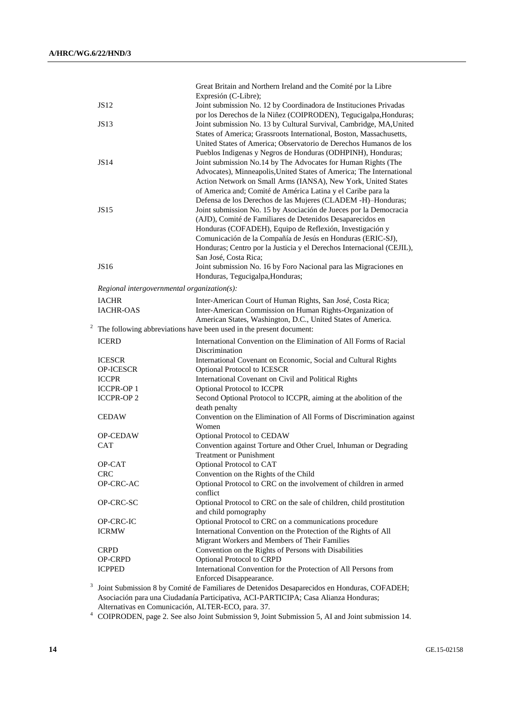|   |                                             | Great Britain and Northern Ireland and the Comité por la Libre                                                           |
|---|---------------------------------------------|--------------------------------------------------------------------------------------------------------------------------|
|   |                                             | Expresión (C-Libre);                                                                                                     |
|   | <b>JS12</b>                                 | Joint submission No. 12 by Coordinadora de Instituciones Privadas                                                        |
|   |                                             | por los Derechos de la Niñez (COIPRODEN), Tegucigalpa, Honduras;                                                         |
|   | JS13                                        | Joint submission No. 13 by Cultural Survival, Cambridge, MA, United                                                      |
|   |                                             | States of America; Grassroots International, Boston, Massachusetts,                                                      |
|   |                                             | United States of America; Observatorio de Derechos Humanos de los                                                        |
|   |                                             | Pueblos Indigenas y Negros de Honduras (ODHPINH), Honduras;                                                              |
|   | <b>JS14</b>                                 | Joint submission No.14 by The Advocates for Human Rights (The                                                            |
|   |                                             | Advocates), Minneapolis, United States of America; The International                                                     |
|   |                                             | Action Network on Small Arms (IANSA), New York, United States                                                            |
|   |                                             | of America and; Comité de América Latina y el Caribe para la                                                             |
|   |                                             | Defensa de los Derechos de las Mujeres (CLADEM -H)-Honduras;                                                             |
|   | JS15                                        | Joint submission No. 15 by Asociación de Jueces por la Democracia                                                        |
|   |                                             | (AJD), Comité de Familiares de Detenidos Desaparecidos en<br>Honduras (COFADEH), Equipo de Reflexión, Investigación y    |
|   |                                             | Comunicación de la Compañía de Jesús en Honduras (ERIC-SJ),                                                              |
|   |                                             | Honduras; Centro por la Justicia y el Derechos Internacional (CEJIL),                                                    |
|   |                                             | San José, Costa Rica;                                                                                                    |
|   | JS16                                        | Joint submission No. 16 by Foro Nacional para las Migraciones en                                                         |
|   |                                             | Honduras, Tegucigalpa, Honduras;                                                                                         |
|   | Regional intergovernmental organization(s): |                                                                                                                          |
|   |                                             |                                                                                                                          |
|   | <b>IACHR</b>                                | Inter-American Court of Human Rights, San José, Costa Rica;<br>Inter-American Commission on Human Rights-Organization of |
|   | <b>IACHR-OAS</b>                            | American States, Washington, D.C., United States of America.                                                             |
|   |                                             | The following abbreviations have been used in the present document:                                                      |
|   |                                             |                                                                                                                          |
|   | <b>ICERD</b>                                | International Convention on the Elimination of All Forms of Racial<br>Discrimination                                     |
|   | <b>ICESCR</b>                               | International Covenant on Economic, Social and Cultural Rights                                                           |
|   | OP-ICESCR                                   | Optional Protocol to ICESCR                                                                                              |
|   | <b>ICCPR</b>                                | International Covenant on Civil and Political Rights                                                                     |
|   | <b>ICCPR-OP1</b>                            | Optional Protocol to ICCPR                                                                                               |
|   | <b>ICCPR-OP2</b>                            | Second Optional Protocol to ICCPR, aiming at the abolition of the                                                        |
|   |                                             | death penalty                                                                                                            |
|   | <b>CEDAW</b>                                | Convention on the Elimination of All Forms of Discrimination against                                                     |
|   |                                             | Women                                                                                                                    |
|   | <b>OP-CEDAW</b>                             | Optional Protocol to CEDAW                                                                                               |
|   | <b>CAT</b>                                  | Convention against Torture and Other Cruel, Inhuman or Degrading                                                         |
|   |                                             | <b>Treatment or Punishment</b>                                                                                           |
|   | OP-CAT                                      | Optional Protocol to CAT                                                                                                 |
|   | <b>CRC</b>                                  | Convention on the Rights of the Child                                                                                    |
|   |                                             |                                                                                                                          |
|   | OP-CRC-AC                                   | Optional Protocol to CRC on the involvement of children in armed                                                         |
|   |                                             | conflict                                                                                                                 |
|   | OP-CRC-SC                                   | Optional Protocol to CRC on the sale of children, child prostitution                                                     |
|   |                                             | and child pornography                                                                                                    |
|   | OP-CRC-IC                                   | Optional Protocol to CRC on a communications procedure                                                                   |
|   | <b>ICRMW</b>                                | International Convention on the Protection of the Rights of All                                                          |
|   |                                             | Migrant Workers and Members of Their Families                                                                            |
|   | <b>CRPD</b>                                 | Convention on the Rights of Persons with Disabilities                                                                    |
|   | OP-CRPD<br><b>ICPPED</b>                    | Optional Protocol to CRPD                                                                                                |
|   |                                             | International Convention for the Protection of All Persons from<br>Enforced Disappearance.                               |
| 3 |                                             | Joint Submission 8 by Comité de Familiares de Detenidos Desaparecidos en Honduras, COFADEH;                              |

Alternativas en Comunicación, ALTER-ECO, para. 37.

<sup>4</sup> COIPRODEN, page 2. See also Joint Submission 9, Joint Submission 5, AI and Joint submission 14.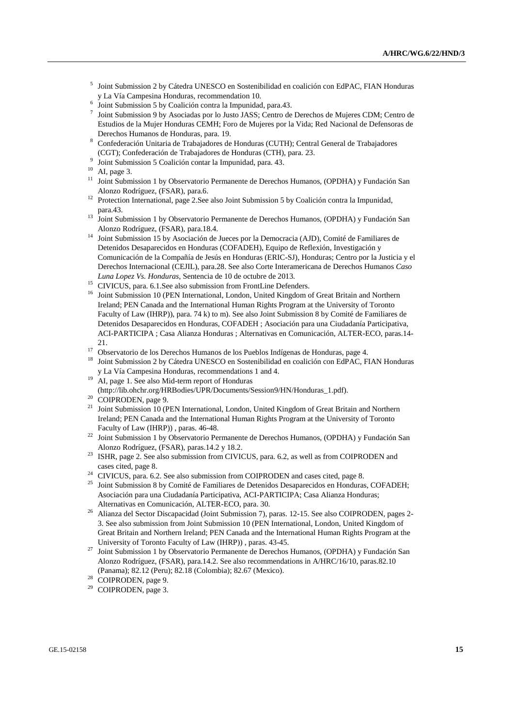- 5 Joint Submission 2 by Cátedra UNESCO en Sostenibilidad en coalición con EdPAC, FIAN Honduras y La Vía Campesina Honduras, recommendation 10.
- 6 Joint Submission 5 by Coalición contra la Impunidad, para.43.
- 7 Joint Submission 9 by Asociadas por lo Justo JASS; Centro de Derechos de Mujeres CDM; Centro de Estudios de la Mujer Honduras CEMH; Foro de Mujeres por la Vida; Red Nacional de Defensoras de Derechos Humanos de Honduras, para. 19.
- <sup>8</sup> Confederación Unitaria de Trabajadores de Honduras (CUTH); Central General de Trabajadores (CGT); Confederación de Trabajadores de Honduras (CTH), para. 23.
- 9 Joint Submission 5 Coalición contar la Impunidad, para. 43.
- $10$  AI, page 3.
- <sup>11</sup> Joint Submission 1 by Observatorio Permanente de Derechos Humanos, (OPDHA) y Fundación San Alonzo Rodríguez, (FSAR), para.6.
- <sup>12</sup> Protection International, page 2.See also Joint Submission 5 by Coalición contra la Impunidad, para.43.
- <sup>13</sup> Joint Submission 1 by Observatorio Permanente de Derechos Humanos, (OPDHA) y Fundación San Alonzo Rodríguez, (FSAR), para.18.4.
- <sup>14</sup> Joint Submission 15 by Asociación de Jueces por la Democracia (AJD), Comité de Familiares de Detenidos Desaparecidos en Honduras (COFADEH), Equipo de Reflexión, Investigación y Comunicación de la Compañía de Jesús en Honduras (ERIC-SJ), Honduras; Centro por la Justicia y el Derechos Internacional (CEJIL), para.28. See also Corte Interamericana de Derechos Humanos *Caso Luna Lopez Vs. Honduras*, Sentencia de 10 de octubre de 2013.
- <sup>15</sup> CIVICUS, para. 6.1. See also submission from FrontLine Defenders.
- <sup>16</sup> Joint Submission 10 (PEN International, London, United Kingdom of Great Britain and Northern Ireland; PEN Canada and the International Human Rights Program at the University of Toronto Faculty of Law (IHRP)), para. 74 k) to m). See also Joint Submission 8 by Comité de Familiares de Detenidos Desaparecidos en Honduras, COFADEH ; Asociación para una Ciudadanía Participativa, ACI-PARTICIPA ; Casa Alianza Honduras ; Alternativas en Comunicación, ALTER-ECO, paras.14- 21.
- <sup>17</sup> Observatorio de los Derechos Humanos de los Pueblos Indígenas de Honduras, page 4.
- <sup>18</sup> Joint Submission 2 by Cátedra UNESCO en Sostenibilidad en coalición con EdPAC, FIAN Honduras y La Vía Campesina Honduras, recommendations 1 and 4.
- <sup>19</sup> AI, page 1. See also Mid-term report of Honduras
- (http://lib.ohchr.org/HRBodies/UPR/Documents/Session9/HN/Honduras\_1.pdf).
- <sup>20</sup> COIPRODEN, page 9.
- <sup>21</sup> Joint Submission 10 (PEN International, London, United Kingdom of Great Britain and Northern Ireland; PEN Canada and the International Human Rights Program at the University of Toronto Faculty of Law (IHRP)) , paras. 46-48.
- <sup>22</sup> Joint Submission 1 by Observatorio Permanente de Derechos Humanos, (OPDHA) y Fundación San Alonzo Rodríguez, (FSAR), paras.14.2 y 18.2.
- <sup>23</sup> ISHR, page 2. See also submission from CIVICUS, para. 6.2, as well as from COIPRODEN and cases cited, page 8.
- <sup>24</sup> CIVICUS, para. 6.2. See also submission from COIPRODEN and cases cited, page 8.
- <sup>25</sup> Joint Submission 8 by Comité de Familiares de Detenidos Desaparecidos en Honduras, COFADEH; Asociación para una Ciudadanía Participativa, ACI-PARTICIPA; Casa Alianza Honduras; Alternativas en Comunicación, ALTER-ECO, para. 30.
- <sup>26</sup> Alianza del Sector Discapacidad (Joint Submission 7), paras. 12-15. See also COIPRODEN, pages 2- 3. See also submission from Joint Submission 10 (PEN International, London, United Kingdom of Great Britain and Northern Ireland; PEN Canada and the International Human Rights Program at the University of Toronto Faculty of Law (IHRP)) , paras. 43-45.
- <sup>27</sup> Joint Submission 1 by Observatorio Permanente de Derechos Humanos, (OPDHA) y Fundación San Alonzo Rodríguez, (FSAR), para.14.2. See also recommendations in A/HRC/16/10, paras.82.10 (Panama); 82.12 (Peru); 82.18 (Colombia); 82.67 (Mexico).
- <sup>28</sup> COIPRODEN, page 9.
- <sup>29</sup> COIPRODEN, page 3.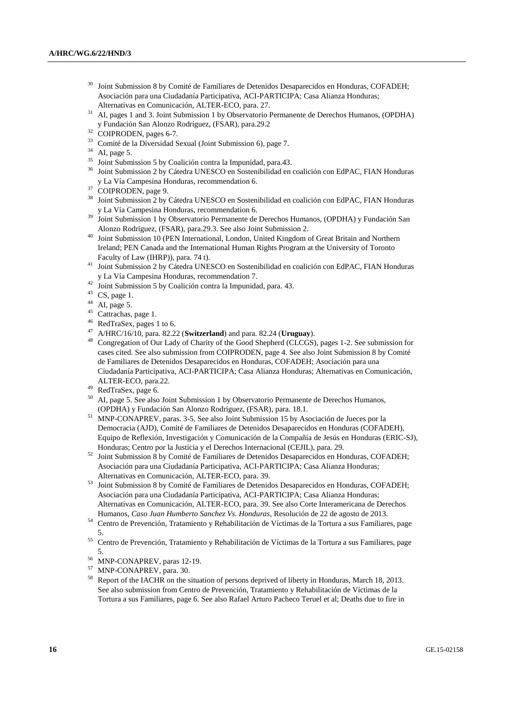- <sup>30</sup> Joint Submission 8 by Comité de Familiares de Detenidos Desaparecidos en Honduras, COFADEH; Asociación para una Ciudadanía Participativa, ACI-PARTICIPA; Casa Alianza Honduras; Alternativas en Comunicación, ALTER-ECO, para. 27.
- <sup>31</sup> AI, pages 1 and 3. Joint Submission 1 by Observatorio Permanente de Derechos Humanos, (OPDHA) y Fundación San Alonzo Rodríguez, (FSAR), para.29.2
- <sup>32</sup> COIPRODEN, pages 6-7.
- <sup>33</sup> Comité de la Diversidad Sexual (Joint Submission 6), page 7.
- <sup>34</sup> AI, page 5.
- <sup>35</sup> Joint Submission 5 by Coalición contra la Impunidad, para.43.
- <sup>36</sup> Joint Submission 2 by Cátedra UNESCO en Sostenibilidad en coalición con EdPAC, FIAN Honduras y La Vía Campesina Honduras, recommendation 6.
- <sup>37</sup> COIPRODEN, page 9.
- <sup>38</sup> Joint Submission 2 by Cátedra UNESCO en Sostenibilidad en coalición con EdPAC, FIAN Honduras y La Vía Campesina Honduras, recommendation 6.
- <sup>39</sup> Joint Submission 1 by Observatorio Permanente de Derechos Humanos, (OPDHA) y Fundación San Alonzo Rodríguez, (FSAR), para.29.3. See also Joint Submission 2.
- <sup>40</sup> Joint Submission 10 (PEN International, London, United Kingdom of Great Britain and Northern Ireland; PEN Canada and the International Human Rights Program at the University of Toronto Faculty of Law (IHRP)), para. 74 t).
- <sup>41</sup> Joint Submission 2 by Cátedra UNESCO en Sostenibilidad en coalición con EdPAC, FIAN Honduras y La Vía Campesina Honduras, recommendation 7.
- <sup>42</sup> Joint Submission 5 by Coalición contra la Impunidad, para. 43.
- <sup>43</sup> CS, page 1.
- AI, page 5.
- <sup>45</sup> Cattrachas, page 1.
- <sup>46</sup> RedTraSex, pages 1 to 6.
- <sup>47</sup> A/HRC/16/10, para. 82.22 (**Switzerland**) and para. 82.24 (**Uruguay**).
- <sup>48</sup> Congregation of Our Lady of Charity of the Good Shepherd (CLCGS), pages 1-2. See submission for cases cited. See also submission from COIPRODEN, page 4. See also Joint Submission 8 by Comité de Familiares de Detenidos Desaparecidos en Honduras, COFADEH; Asociación para una Ciudadanía Participativa, ACI-PARTICIPA; Casa Alianza Honduras; Alternativas en Comunicación, ALTER-ECO, para.22.
- $^{49}$  RedTraSex, page 6.<br> $^{50}$  AL page 5. See also
- <sup>50</sup> AI, page 5. See also Joint Submission 1 by Observatorio Permanente de Derechos Humanos, (OPDHA) y Fundación San Alonzo Rodríguez, (FSAR), para. 18.1.
- <sup>51</sup> MNP-CONAPREV, paras. 3-5. See also Joint Submission 15 by Asociación de Jueces por la Democracia (AJD), Comité de Familiares de Detenidos Desaparecidos en Honduras (COFADEH), Equipo de Reflexión, Investigación y Comunicación de la Compañía de Jesús en Honduras (ERIC-SJ), Honduras; Centro por la Justicia y el Derechos Internacional (CEJIL), para. 29.
- <sup>52</sup> Joint Submission 8 by Comité de Familiares de Detenidos Desaparecidos en Honduras, COFADEH; Asociación para una Ciudadanía Participativa, ACI-PARTICIPA; Casa Alianza Honduras; Alternativas en Comunicación, ALTER-ECO, para. 39.
- <sup>53</sup> Joint Submission 8 by Comité de Familiares de Detenidos Desaparecidos en Honduras, COFADEH; Asociación para una Ciudadanía Participativa, ACI-PARTICIPA; Casa Alianza Honduras; Alternativas en Comunicación, ALTER-ECO, para. 39. See also Corte Interamericana de Derechos Humanos, *Caso Juan Humberto Sanchez Vs. Honduras*, Resolución de 22 de agosto de 2013.
- <sup>54</sup> Centro de Prevención, Tratamiento y Rehabilitación de Víctimas de la Tortura a sus Familiares, page 5.
- <sup>55</sup> Centro de Prevención, Tratamiento y Rehabilitación de Víctimas de la Tortura a sus Familiares, page 5.
- $^{56}$  MNP-CONAPREV, paras 12-19.
- $^{57}$  MNP-CONAPREV, para. 30.<br> $^{58}$  Penort of the LACHP on the s
- <sup>58</sup> Report of the IACHR on the situation of persons deprived of liberty in Honduras, March 18, 2013. See also submission from Centro de Prevención, Tratamiento y Rehabilitación de Víctimas de la Tortura a sus Familiares, page 6. See also Rafael Arturo Pacheco Teruel et al; Deaths due to fire in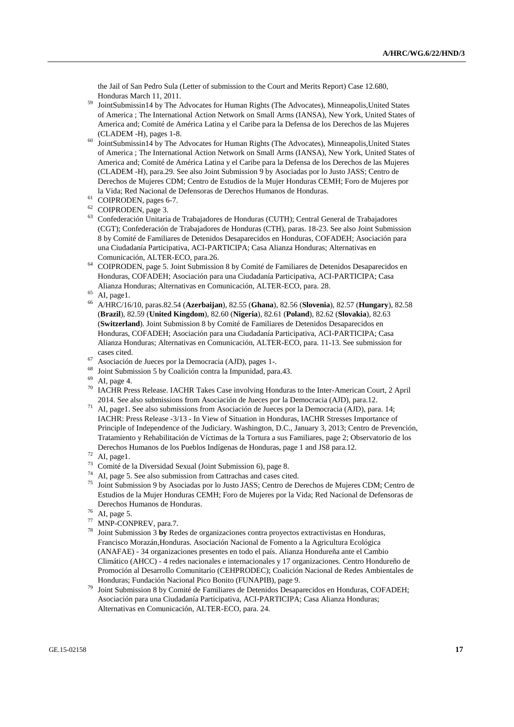the Jail of San Pedro Sula (Letter of submission to the Court and Merits Report) Case 12.680, Honduras March 11, 2011.

- <sup>59</sup> JointSubmissin14 by The Advocates for Human Rights (The Advocates), Minneapolis,United States of America ; The International Action Network on Small Arms (IANSA), New York, United States of America and; Comité de América Latina y el Caribe para la Defensa de los Derechos de las Mujeres (CLADEM -H), pages 1-8.
- <sup>60</sup> JointSubmissin14 by The Advocates for Human Rights (The Advocates), Minneapolis,United States of America ; The International Action Network on Small Arms (IANSA), New York, United States of America and; Comité de América Latina y el Caribe para la Defensa de los Derechos de las Mujeres (CLADEM -H), para.29. See also Joint Submission 9 by Asociadas por lo Justo JASS; Centro de Derechos de Mujeres CDM; Centro de Estudios de la Mujer Honduras CEMH; Foro de Mujeres por la Vida; Red Nacional de Defensoras de Derechos Humanos de Honduras.
- <sup>61</sup> COIPRODEN, pages 6-7.
- <sup>62</sup> COIPRODEN, page 3.
- <sup>63</sup> Confederación Unitaria de Trabajadores de Honduras (CUTH); Central General de Trabajadores (CGT); Confederación de Trabajadores de Honduras (CTH), paras. 18-23. See also Joint Submission 8 by Comité de Familiares de Detenidos Desaparecidos en Honduras, COFADEH; Asociación para una Ciudadanía Participativa, ACI-PARTICIPA; Casa Alianza Honduras; Alternativas en Comunicación, ALTER-ECO, para.26.
- <sup>64</sup> COIPRODEN, page 5. Joint Submission 8 by Comité de Familiares de Detenidos Desaparecidos en Honduras, COFADEH; Asociación para una Ciudadanía Participativa, ACI-PARTICIPA; Casa Alianza Honduras; Alternativas en Comunicación, ALTER-ECO, para. 28.
- $65$  AI, page1.
- <sup>66</sup> A/HRC/16/10, paras.82.54 (**Azerbaijan**), 82.55 (**Ghana**), 82.56 (**Slovenia**), 82.57 (**Hungary**), 82.58 (**Brazil**), 82.59 (**United Kingdom**), 82.60 (**Nigeria**), 82.61 (**Poland**), 82.62 (**Slovakia**), 82.63 (**Switzerland**). Joint Submission 8 by Comité de Familiares de Detenidos Desaparecidos en Honduras, COFADEH; Asociación para una Ciudadanía Participativa, ACI-PARTICIPA; Casa Alianza Honduras; Alternativas en Comunicación, ALTER-ECO, para. 11-13. See submission for cases cited.
- <sup>67</sup> Asociación de Jueces por la Democracia (AJD), pages 1-.
- <sup>68</sup> Joint Submission 5 by Coalición contra la Impunidad, para.43.
- <sup>69</sup> AI, page 4.
- <sup>70</sup> IACHR Press Release. IACHR Takes Case involving Honduras to the Inter-American Court, 2 April 2014. See also submissions from Asociación de Jueces por la Democracia (AJD), para.12.
- <sup>71</sup> AI, page1. See also submissions from Asociación de Jueces por la Democracia (AJD), para. 14; IACHR: Press Release -3/13 - In View of Situation in Honduras, IACHR Stresses Importance of Principle of Independence of the Judiciary. Washington, D.C., January 3, 2013; Centro de Prevención, Tratamiento y Rehabilitación de Víctimas de la Tortura a sus Familiares, page 2; Observatorio de los Derechos Humanos de los Pueblos Indígenas de Honduras, page 1 and JS8 para.12.
- $72$  AI, page1.
- <sup>73</sup> Comité de la Diversidad Sexual (Joint Submission 6), page 8.
- <sup>74</sup> AI, page 5. See also submission from Cattrachas and cases cited.<br> $^{75}$  Lint Submission 0 by Associates nor la Justa JASS: Cantra de D
- <sup>75</sup> Joint Submission 9 by Asociadas por lo Justo JASS; Centro de Derechos de Mujeres CDM; Centro de Estudios de la Mujer Honduras CEMH; Foro de Mujeres por la Vida; Red Nacional de Defensoras de Derechos Humanos de Honduras.
- $76$  AI, page 5.
- <sup>77</sup> MNP-CONPREV, para.7.
- <sup>78</sup> Joint Submission 3 **by** Redes de organizaciones contra proyectos extractivistas en Honduras, Francisco Morazán,Honduras. Asociación Nacional de Fomento a la Agricultura Ecológica (ANAFAE) - 34 organizaciones presentes en todo el país. Alianza Hondureña ante el Cambio Climático (AHCC) - 4 redes nacionales e internacionales y 17 organizaciones. Centro Hondureño de Promoción al Desarrollo Comunitario (CEHPRODEC); Coalición Nacional de Redes Ambientales de Honduras; Fundación Nacional Pico Bonito (FUNAPIB), page 9.
- <sup>79</sup> Joint Submission 8 by Comité de Familiares de Detenidos Desaparecidos en Honduras, COFADEH; Asociación para una Ciudadanía Participativa, ACI-PARTICIPA; Casa Alianza Honduras; Alternativas en Comunicación, ALTER-ECO, para. 24.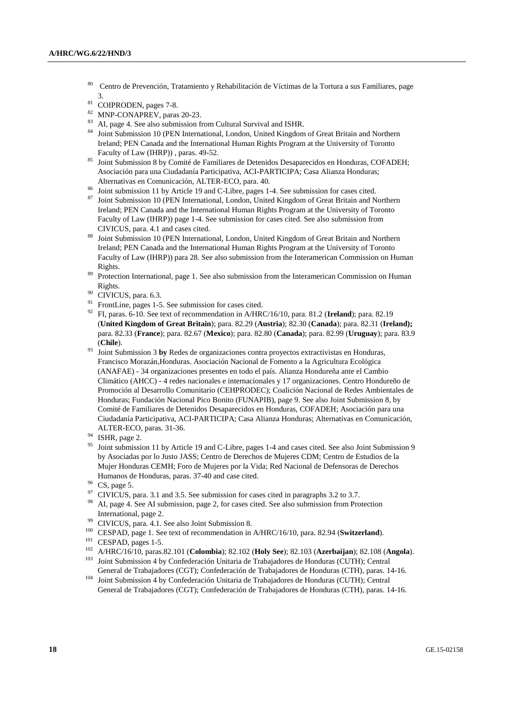- <sup>80</sup> Centro de Prevención, Tratamiento y Rehabilitación de Víctimas de la Tortura a sus Familiares, page 3.
- <sup>81</sup> COIPRODEN, pages 7-8.
- <sup>82</sup> MNP-CONAPREV, paras 20-23.
- <sup>83</sup> AI, page 4. See also submission from Cultural Survival and ISHR.
- <sup>84</sup> Joint Submission 10 (PEN International, London, United Kingdom of Great Britain and Northern Ireland; PEN Canada and the International Human Rights Program at the University of Toronto Faculty of Law (IHRP)) , paras. 49-52.
- 85 Joint Submission 8 by Comité de Familiares de Detenidos Desaparecidos en Honduras, COFADEH; Asociación para una Ciudadanía Participativa, ACI-PARTICIPA; Casa Alianza Honduras; Alternativas en Comunicación, ALTER-ECO, para. 40.
- <sup>86</sup> Joint submission 11 by Article 19 and C-Libre, pages 1-4. See submission for cases cited.
- <sup>87</sup> Joint Submission 10 (PEN International, London, United Kingdom of Great Britain and Northern Ireland; PEN Canada and the International Human Rights Program at the University of Toronto Faculty of Law (IHRP)) page 1-4. See submission for cases cited. See also submission from CIVICUS, para. 4.1 and cases cited.
- 88 Joint Submission 10 (PEN International, London, United Kingdom of Great Britain and Northern Ireland; PEN Canada and the International Human Rights Program at the University of Toronto Faculty of Law (IHRP)) para 28. See also submission from the Interamerican Commission on Human Rights.
- <sup>89</sup> Protection International, page 1. See also submission from the Interamerican Commission on Human Rights.
- <sup>90</sup> CIVICUS, para. 6.3.
- <sup>91</sup> FrontLine, pages 1-5. See submission for cases cited.
- <sup>92</sup> FI, paras. 6-10. See text of recommendation in A/HRC/16/10, para. 81.2 (**Ireland**); para. 82.19 (**United Kingdom of Great Britain**); para. 82.29 (**Austria**); 82.30 (**Canada**); para. 82.31 (**Ireland);** para. 82.33 (**France**); para. 82.67 (**Mexico**); para. 82.80 (**Canada**); para. 82.99 (**Uruguay**); para. 83.9 (**Chile**).
- <sup>93</sup> Joint Submission 3 **by** Redes de organizaciones contra proyectos extractivistas en Honduras, Francisco Morazán,Honduras. Asociación Nacional de Fomento a la Agricultura Ecológica (ANAFAE) - 34 organizaciones presentes en todo el país. Alianza Hondureña ante el Cambio Climático (AHCC) - 4 redes nacionales e internacionales y 17 organizaciones. Centro Hondureño de Promoción al Desarrollo Comunitario (CEHPRODEC); Coalición Nacional de Redes Ambientales de Honduras; Fundación Nacional Pico Bonito (FUNAPIB), page 9. See also Joint Submission 8, by Comité de Familiares de Detenidos Desaparecidos en Honduras, COFADEH; Asociación para una Ciudadanía Participativa, ACI-PARTICIPA; Casa Alianza Honduras; Alternativas en Comunicación, ALTER-ECO, paras. 31-36.
- <sup>94</sup> ISHR, page 2.
- <sup>95</sup> Joint submission 11 by Article 19 and C-Libre, pages 1-4 and cases cited. See also Joint Submission 9 by Asociadas por lo Justo JASS; Centro de Derechos de Mujeres CDM; Centro de Estudios de la Mujer Honduras CEMH; Foro de Mujeres por la Vida; Red Nacional de Defensoras de Derechos Humanos de Honduras, paras. 37-40 and case cited.
- CS, page 5.
- $97$  CIVICUS, para. 3.1 and 3.5. See submission for cases cited in paragraphs 3.2 to 3.7.
- <sup>98</sup> AI, page 4. See AI submission, page 2, for cases cited. See also submission from Protection International, page 2.
- <sup>99</sup> CIVICUS, para. 4.1. See also Joint Submission 8.
- <sup>100</sup> CESPAD, page 1. See text of recommendation in A/HRC/16/10, para. 82.94 (**Switzerland**).
- <sup>101</sup> CESPAD, pages 1-5.
- <sup>102</sup> A/HRC/16/10, paras.82.101 (**Colombia**); 82.102 (**Holy See**); 82.103 (**Azerbaijan**); 82.108 (**Angola**).
- <sup>103</sup> Joint Submission 4 by Confederación Unitaria de Trabajadores de Honduras (CUTH); Central General de Trabajadores (CGT); Confederación de Trabajadores de Honduras (CTH), paras. 14-16.
- <sup>104</sup> Joint Submission 4 by Confederación Unitaria de Trabajadores de Honduras (CUTH); Central General de Trabajadores (CGT); Confederación de Trabajadores de Honduras (CTH), paras. 14-16.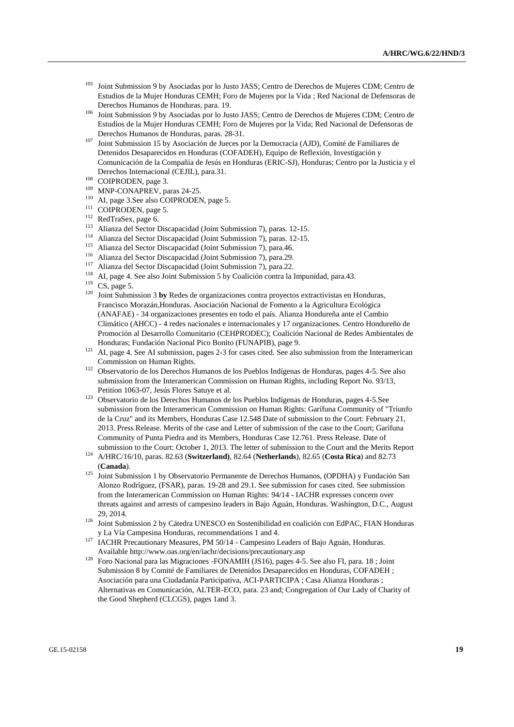- <sup>105</sup> Joint Submission 9 by Asociadas por lo Justo JASS; Centro de Derechos de Mujeres CDM; Centro de Estudios de la Mujer Honduras CEMH; Foro de Mujeres por la Vida ; Red Nacional de Defensoras de Derechos Humanos de Honduras, para. 19.
- <sup>106</sup> Joint Submission 9 by Asociadas por lo Justo JASS; Centro de Derechos de Mujeres CDM; Centro de Estudios de la Mujer Honduras CEMH; Foro de Mujeres por la Vida; Red Nacional de Defensoras de Derechos Humanos de Honduras, paras. 28-31.
- <sup>107</sup> Joint Submission 15 by Asociación de Jueces por la Democracia (AJD), Comité de Familiares de Detenidos Desaparecidos en Honduras (COFADEH), Equipo de Reflexión, Investigación y Comunicación de la Compañía de Jesús en Honduras (ERIC-SJ), Honduras; Centro por la Justicia y el Derechos Internacional (CEJIL), para.31.
- <sup>108</sup> COIPRODEN, page 3.
- <sup>109</sup> MNP-CONAPREV, paras 24-25.
- <sup>110</sup> AI, page 3.See also COIPRODEN, page 5.
- <sup>111</sup> COIPRODEN, page 5.
- <sup>112</sup> RedTraSex, page 6.
- <sup>113</sup> Alianza del Sector Discapacidad (Joint Submission 7), paras. 12-15.
- <sup>114</sup> Alianza del Sector Discapacidad (Joint Submission 7), paras. 12-15.
- <sup>115</sup> Alianza del Sector Discapacidad (Joint Submission 7), para.46.
- <sup>116</sup> Alianza del Sector Discapacidad (Joint Submission 7), para.29.
- <sup>117</sup> Alianza del Sector Discapacidad (Joint Submission 7), para.22.
- <sup>118</sup> AI, page 4. See also Joint Submission 5 by Coalición contra la Impunidad, para.43.
- $119$  CS, page 5.
- <sup>120</sup> Joint Submission 3 **by** Redes de organizaciones contra proyectos extractivistas en Honduras, Francisco Morazán,Honduras. Asociación Nacional de Fomento a la Agricultura Ecológica (ANAFAE) - 34 organizaciones presentes en todo el país. Alianza Hondureña ante el Cambio Climático (AHCC) - 4 redes nacionales e internacionales y 17 organizaciones. Centro Hondureño de Promoción al Desarrollo Comunitario (CEHPRODEC); Coalición Nacional de Redes Ambientales de Honduras; Fundación Nacional Pico Bonito (FUNAPIB), page 9.
- <sup>121</sup> AI, page 4. See AI submission, pages 2-3 for cases cited. See also submission from the Interamerican Commission on Human Rights.
- <sup>122</sup> Observatorio de los Derechos Humanos de los Pueblos Indígenas de Honduras, pages 4-5. See also submission from the Interamerican Commission on Human Rights, including Report No. 93/13, Petition 1063-07, Jesús Flores Satuye et al.
- <sup>123</sup> Observatorio de los Derechos Humanos de los Pueblos Indígenas de Honduras, pages 4-5.See submission from the Interamerican Commission on Human Rights: Garífuna Community of "Triunfo de la Cruz" and its Members, Honduras Case 12.548 Date of submission to the Court: February 21, 2013. Press Release. Merits of the case and Letter of submission of the case to the Court; Garifuna Community of Punta Piedra and its Members, Honduras Case 12.761. Press Release. Date of submission to the Court: October 1, 2013. The letter of submission to the Court and the Merits Report
- <sup>124</sup> A/HRC/16/10, paras. 82.63 (**Switzerland)**, 82.64 (**Netherlands**), 82.65 (**Costa Rica**) and 82.73 (**Canada**).
- <sup>125</sup> Joint Submission 1 by Observatorio Permanente de Derechos Humanos, (OPDHA) y Fundación San Alonzo Rodríguez, (FSAR), paras. 19-28 and 29.1. See submission for cases cited. See submission from the Interamerican Commission on Human Rights: 94/14 - IACHR expresses concern over threats against and arrests of campesino leaders in Bajo Aguán, Honduras. Washington, D.C., August 29, 2014.
- <sup>126</sup> Joint Submission 2 by Cátedra UNESCO en Sostenibilidad en coalición con EdPAC, FIAN Honduras y La Vía Campesina Honduras, recommendations 1 and 4.
- <sup>127</sup> IACHR Precautionary Measures, PM 50/14 Campesino Leaders of Bajo Aguán, Honduras. Available http://www.oas.org/en/iachr/decisions/precautionary.asp
- <sup>128</sup> Foro Nacional para las Migraciones -FONAMIH (JS16), pages 4-5. See also FI, para. 18 ; Joint Submission 8 by Comité de Familiares de Detenidos Desaparecidos en Honduras, COFADEH ; Asociación para una Ciudadanía Participativa, ACI-PARTICIPA ; Casa Alianza Honduras ; Alternativas en Comunicación, ALTER-ECO, para. 23 and; Congregation of Our Lady of Charity of the Good Shepherd (CLCGS), pages 1and 3.